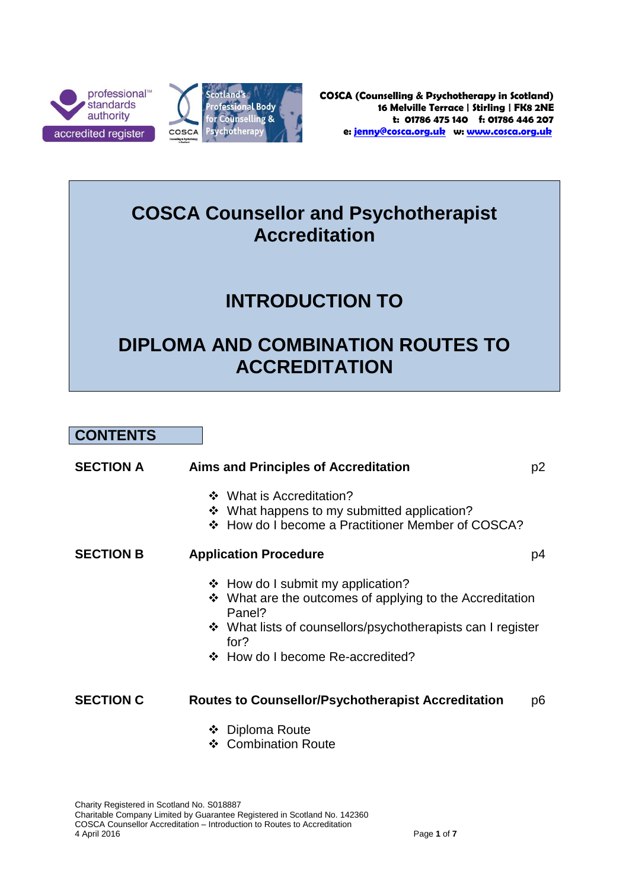



## **COSCA Counsellor and Psychotherapist Accreditation**

# **INTRODUCTION TO**

# **DIPLOMA AND COMBINATION ROUTES TO ACCREDITATION**

**CONTENTS**

| <b>SECTION A</b> | <b>Aims and Principles of Accreditation</b>                                                                                                                                                                             | p <sub>2</sub> |
|------------------|-------------------------------------------------------------------------------------------------------------------------------------------------------------------------------------------------------------------------|----------------|
|                  | ❖ What is Accreditation?<br>❖ What happens to my submitted application?<br>❖ How do I become a Practitioner Member of COSCA?                                                                                            |                |
| <b>SECTION B</b> | <b>Application Procedure</b>                                                                                                                                                                                            | p4             |
|                  | $\div$ How do I submit my application?<br>❖ What are the outcomes of applying to the Accreditation<br>Panel?<br>❖ What lists of counsellors/psychotherapists can I register<br>for?<br>❖ How do I become Re-accredited? |                |
| <b>SECTION C</b> | <b>Routes to Counsellor/Psychotherapist Accreditation</b>                                                                                                                                                               | p6             |
|                  | ❖ Diploma Route<br>❖ Combination Route                                                                                                                                                                                  |                |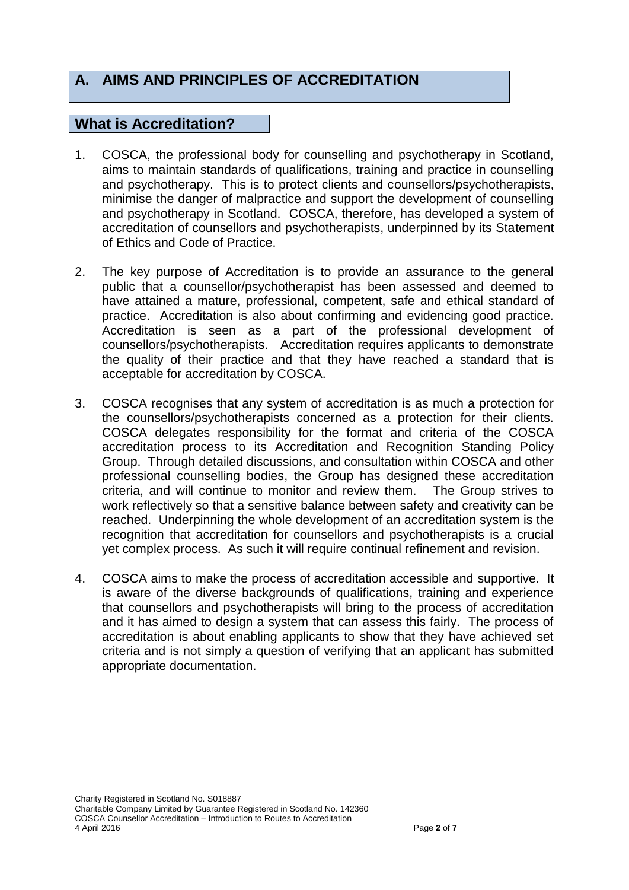## **A. AIMS AND PRINCIPLES OF ACCREDITATION**

#### **What is Accreditation?**

- 1. COSCA, the professional body for counselling and psychotherapy in Scotland, aims to maintain standards of qualifications, training and practice in counselling and psychotherapy. This is to protect clients and counsellors/psychotherapists, minimise the danger of malpractice and support the development of counselling and psychotherapy in Scotland. COSCA, therefore, has developed a system of accreditation of counsellors and psychotherapists, underpinned by its Statement of Ethics and Code of Practice.
- 2. The key purpose of Accreditation is to provide an assurance to the general public that a counsellor/psychotherapist has been assessed and deemed to have attained a mature, professional, competent, safe and ethical standard of practice. Accreditation is also about confirming and evidencing good practice. Accreditation is seen as a part of the professional development of counsellors/psychotherapists. Accreditation requires applicants to demonstrate the quality of their practice and that they have reached a standard that is acceptable for accreditation by COSCA.
- 3. COSCA recognises that any system of accreditation is as much a protection for the counsellors/psychotherapists concerned as a protection for their clients. COSCA delegates responsibility for the format and criteria of the COSCA accreditation process to its Accreditation and Recognition Standing Policy Group. Through detailed discussions, and consultation within COSCA and other professional counselling bodies, the Group has designed these accreditation criteria, and will continue to monitor and review them. The Group strives to work reflectively so that a sensitive balance between safety and creativity can be reached. Underpinning the whole development of an accreditation system is the recognition that accreditation for counsellors and psychotherapists is a crucial yet complex process. As such it will require continual refinement and revision.
- 4. COSCA aims to make the process of accreditation accessible and supportive. It is aware of the diverse backgrounds of qualifications, training and experience that counsellors and psychotherapists will bring to the process of accreditation and it has aimed to design a system that can assess this fairly. The process of accreditation is about enabling applicants to show that they have achieved set criteria and is not simply a question of verifying that an applicant has submitted appropriate documentation.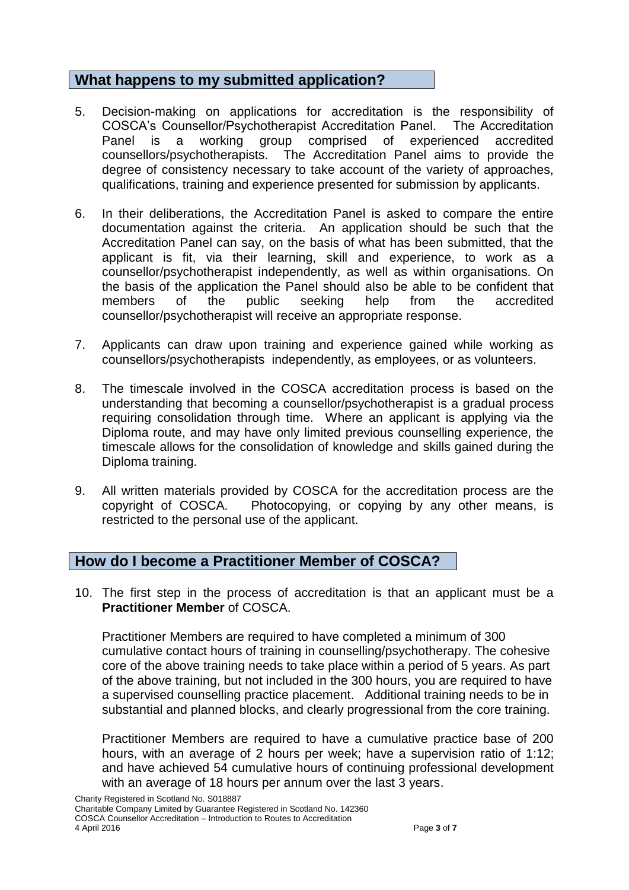## **What happens to my submitted application?**

- 5. Decision-making on applications for accreditation is the responsibility of COSCA's Counsellor/Psychotherapist Accreditation Panel. The Accreditation Panel is a working group comprised of experienced accredited counsellors/psychotherapists. The Accreditation Panel aims to provide the degree of consistency necessary to take account of the variety of approaches, qualifications, training and experience presented for submission by applicants.
- 6. In their deliberations, the Accreditation Panel is asked to compare the entire documentation against the criteria. An application should be such that the Accreditation Panel can say, on the basis of what has been submitted, that the applicant is fit, via their learning, skill and experience, to work as a counsellor/psychotherapist independently, as well as within organisations. On the basis of the application the Panel should also be able to be confident that members of the public seeking help from the accredited counsellor/psychotherapist will receive an appropriate response.
- 7. Applicants can draw upon training and experience gained while working as counsellors/psychotherapists independently, as employees, or as volunteers.
- 8. The timescale involved in the COSCA accreditation process is based on the understanding that becoming a counsellor/psychotherapist is a gradual process requiring consolidation through time. Where an applicant is applying via the Diploma route, and may have only limited previous counselling experience, the timescale allows for the consolidation of knowledge and skills gained during the Diploma training.
- 9. All written materials provided by COSCA for the accreditation process are the copyright of COSCA. Photocopying, or copying by any other means, is restricted to the personal use of the applicant.

## **How do I become a Practitioner Member of COSCA?**

10. The first step in the process of accreditation is that an applicant must be a **Practitioner Member** of COSCA.

Practitioner Members are required to have completed a minimum of 300 cumulative contact hours of training in counselling/psychotherapy. The cohesive core of the above training needs to take place within a period of 5 years. As part of the above training, but not included in the 300 hours, you are required to have a supervised counselling practice placement. Additional training needs to be in substantial and planned blocks, and clearly progressional from the core training.

Practitioner Members are required to have a cumulative practice base of 200 hours, with an average of 2 hours per week; have a supervision ratio of 1:12; and have achieved 54 cumulative hours of continuing professional development with an average of 18 hours per annum over the last 3 years.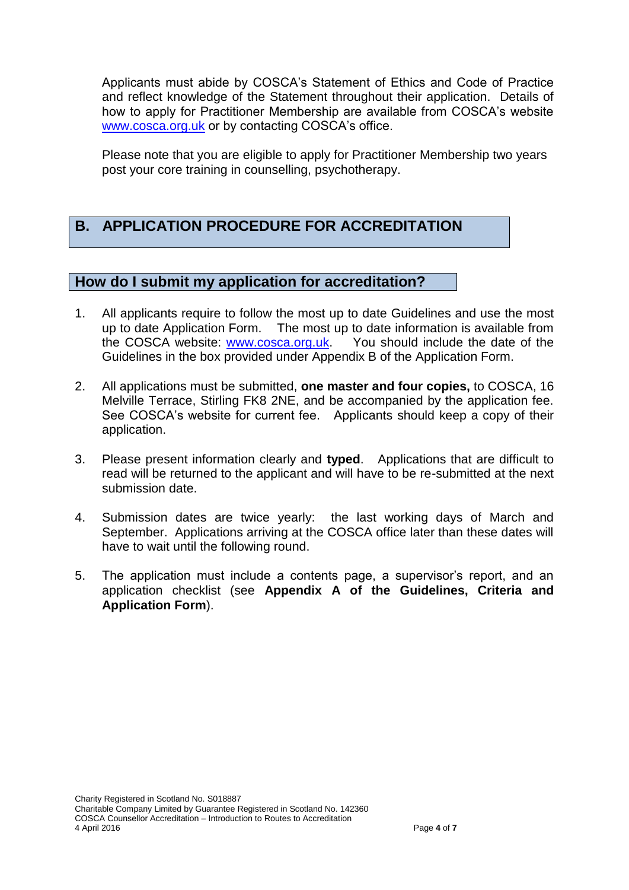Applicants must abide by COSCA's Statement of Ethics and Code of Practice and reflect knowledge of the Statement throughout their application. Details of how to apply for Practitioner Membership are available from COSCA's website [www.cosca.org.uk](http://www.cosca.org.uk/) or by contacting COSCA's office.

Please note that you are eligible to apply for Practitioner Membership two years post your core training in counselling, psychotherapy.

## **B. APPLICATION PROCEDURE FOR ACCREDITATION**

## **How do I submit my application for accreditation?**

- 1. All applicants require to follow the most up to date Guidelines and use the most up to date Application Form. The most up to date information is available from the COSCA website: [www.cosca.org.uk.](http://www.cosca.org.uk/) You should include the date of the Guidelines in the box provided under Appendix B of the Application Form.
- 2. All applications must be submitted, **one master and four copies,** to COSCA, 16 Melville Terrace, Stirling FK8 2NE, and be accompanied by the application fee. See COSCA's website for current fee. Applicants should keep a copy of their application.
- 3. Please present information clearly and **typed**. Applications that are difficult to read will be returned to the applicant and will have to be re-submitted at the next submission date.
- 4. Submission dates are twice yearly: the last working days of March and September. Applications arriving at the COSCA office later than these dates will have to wait until the following round.
- 5. The application must include a contents page, a supervisor's report, and an application checklist (see **Appendix A of the Guidelines, Criteria and Application Form**).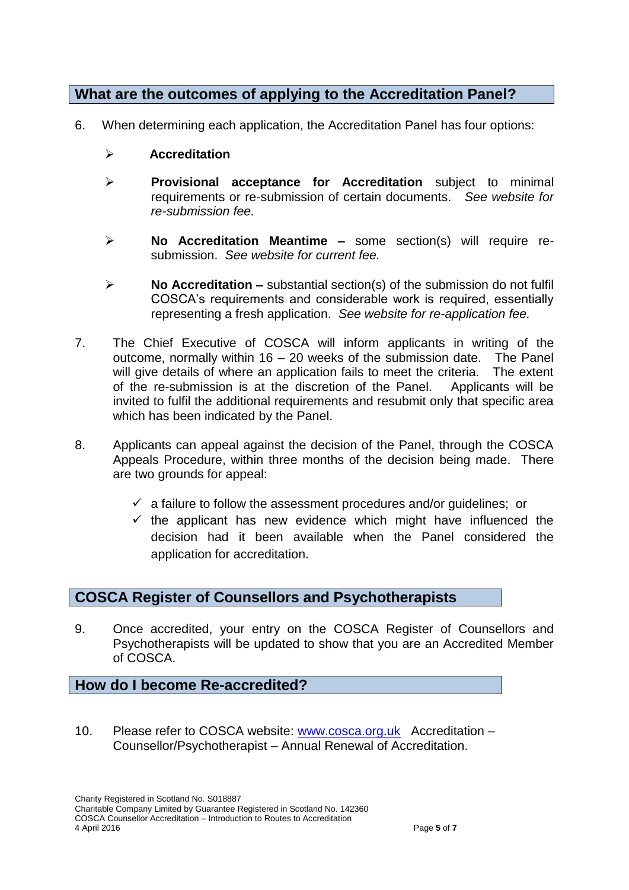## **What are the outcomes of applying to the Accreditation Panel?**

- 6. When determining each application, the Accreditation Panel has four options:
	- **Accreditation**
	- **Provisional acceptance for Accreditation** subject to minimal requirements or re-submission of certain documents. *See website for re-submission fee.*
	- **No Accreditation Meantime –** some section(s) will require resubmission. *See website for current fee.*
	- **No Accreditation –** substantial section(s) of the submission do not fulfil COSCA's requirements and considerable work is required, essentially representing a fresh application. *See website for re-application fee.*
- 7. The Chief Executive of COSCA will inform applicants in writing of the outcome, normally within 16 – 20 weeks of the submission date. The Panel will give details of where an application fails to meet the criteria. The extent of the re-submission is at the discretion of the Panel. Applicants will be invited to fulfil the additional requirements and resubmit only that specific area which has been indicated by the Panel.
- 8. Applicants can appeal against the decision of the Panel, through the COSCA Appeals Procedure, within three months of the decision being made. There are two grounds for appeal:
	- $\checkmark$  a failure to follow the assessment procedures and/or quidelines; or
	- $\checkmark$  the applicant has new evidence which might have influenced the decision had it been available when the Panel considered the application for accreditation.

## **COSCA Register of Counsellors and Psychotherapists**

9. Once accredited, your entry on the COSCA Register of Counsellors and Psychotherapists will be updated to show that you are an Accredited Member of COSCA.

**How do I become Re-accredited?**

10. Please refer to COSCA website: [www.cosca.org.uk](http://www.cosca.org.uk/) Accreditation -Counsellor/Psychotherapist – Annual Renewal of Accreditation.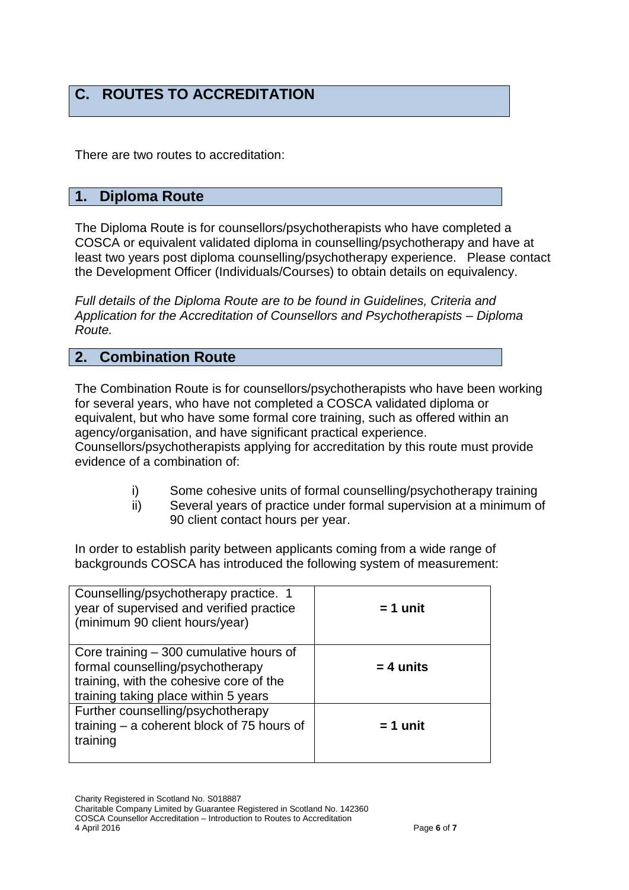## **C. ROUTES TO ACCREDITATION**

There are two routes to accreditation:

## **1. Diploma Route**

The Diploma Route is for counsellors/psychotherapists who have completed a COSCA or equivalent validated diploma in counselling/psychotherapy and have at least two years post diploma counselling/psychotherapy experience. Please contact the Development Officer (Individuals/Courses) to obtain details on equivalency.

*Full details of the Diploma Route are to be found in Guidelines, Criteria and Application for the Accreditation of Counsellors and Psychotherapists – Diploma Route.*

#### **2. Combination Route**

The Combination Route is for counsellors/psychotherapists who have been working for several years, who have not completed a COSCA validated diploma or equivalent, but who have some formal core training, such as offered within an agency/organisation, and have significant practical experience. Counsellors/psychotherapists applying for accreditation by this route must provide evidence of a combination of:

- i) Some cohesive units of formal counselling/psychotherapy training
- ii) Several years of practice under formal supervision at a minimum of 90 client contact hours per year.

In order to establish parity between applicants coming from a wide range of backgrounds COSCA has introduced the following system of measurement:

| Counselling/psychotherapy practice. 1<br>year of supervised and verified practice<br>(minimum 90 client hours/year)                                             | $= 1$ unit  |
|-----------------------------------------------------------------------------------------------------------------------------------------------------------------|-------------|
| Core training $-300$ cumulative hours of<br>formal counselling/psychotherapy<br>training, with the cohesive core of the<br>training taking place within 5 years | $= 4$ units |
| Further counselling/psychotherapy<br>training $-$ a coherent block of 75 hours of<br>training                                                                   | $= 1$ unit  |

Charity Registered in Scotland No. S018887

Charitable Company Limited by Guarantee Registered in Scotland No. 142360 COSCA Counsellor Accreditation – Introduction to Routes to Accreditation 4 April 2016 Page **6** of **7**